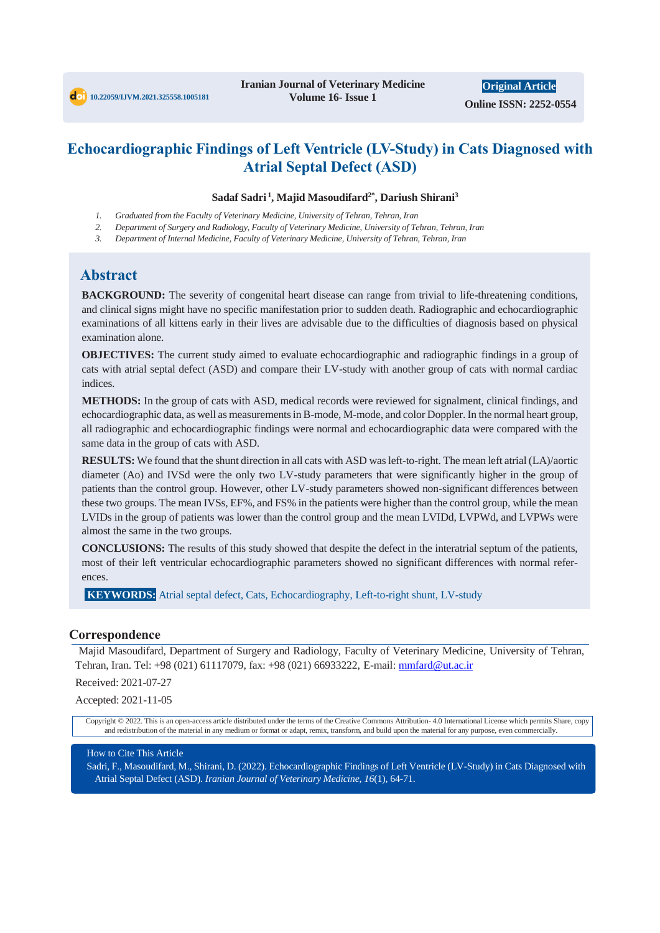

# **Echocardiographic Findings of Left Ventricle (LV-Study) in Cats Diagnosed with Atrial Septal Defect (ASD)**

#### **Sadaf Sadri <sup>1</sup> , Majid Masoudifard2\*, Dariush Shirani<sup>3</sup>**

- *1. Graduated from the Faculty of Veterinary Medicine, University of Tehran, Tehran, Iran*
- *2. Department of Surgery and Radiology, Faculty of Veterinary Medicine, University of Tehran, Tehran, Iran*
- *3. Department of Internal Medicine, Faculty of Veterinary Medicine, University of Tehran, Tehran, Iran*

### **Abstract**

**BACKGROUND:** The severity of congenital heart disease can range from trivial to life-threatening conditions, and clinical signs might have no specific manifestation prior to sudden death. Radiographic and echocardiographic examinations of all kittens early in their lives are advisable due to the difficulties of diagnosis based on physical examination alone.

**OBJECTIVES:** The current study aimed to evaluate echocardiographic and radiographic findings in a group of cats with atrial septal defect (ASD) and compare their LV-study with another group of cats with normal cardiac indices.

**METHODS:** In the group of cats with ASD, medical records were reviewed for signalment, clinical findings, and echocardiographic data, as well as measurements in B-mode, M-mode, and color Doppler. In the normal heart group, all radiographic and echocardiographic findings were normal and echocardiographic data were compared with the same data in the group of cats with ASD.

**RESULTS:** We found that the shunt direction in all cats with ASD was left-to-right. The mean left atrial (LA)/aortic diameter (Ao) and IVSd were the only two LV-study parameters that were significantly higher in the group of patients than the control group. However, other LV-study parameters showed non-significant differences between these two groups. The mean IVSs, EF%, and FS% in the patients were higher than the control group, while the mean LVIDs in the group of patients was lower than the control group and the mean LVIDd, LVPWd, and LVPWs were almost the same in the two groups.

**CONCLUSIONS:** The results of this study showed that despite the defect in the interatrial septum of the patients, most of their left ventricular echocardiographic parameters showed no significant differences with normal references.

**KEYWORDS:** Atrial septal defect, Cats, Echocardiography, Left-to-right shunt, LV-study

#### **Correspondence**

Majid Masoudifard, Department of Surgery and Radiology, Faculty of Veterinary Medicine, University of Tehran, Tehran, Iran. Tel: +98 (021) 61117079, fax: +98 (021) 66933222, E-mail: mmfard@ut.ac.ir

Received: 2021-07-27

Accepted: 2021-11-05

Copyright © 2022. This is an open-access article distributed under the terms of the Creative Commons Attribution- 4.0 International License which permits Share, copy and redistribution of the material in any medium or format or adapt, remix, transform, and build upon the material for any purpose, even commercially.

#### How to Cite This Article

Sadri, F., Masoudifard, M., Shirani, D. (2022). Echocardiographic Findings of Left Ventricle (LV-Study) in Cats Diagnosed with Atrial Septal Defect (ASD). *Iranian Journal of Veterinary Medicine, 16*(1), 64-71.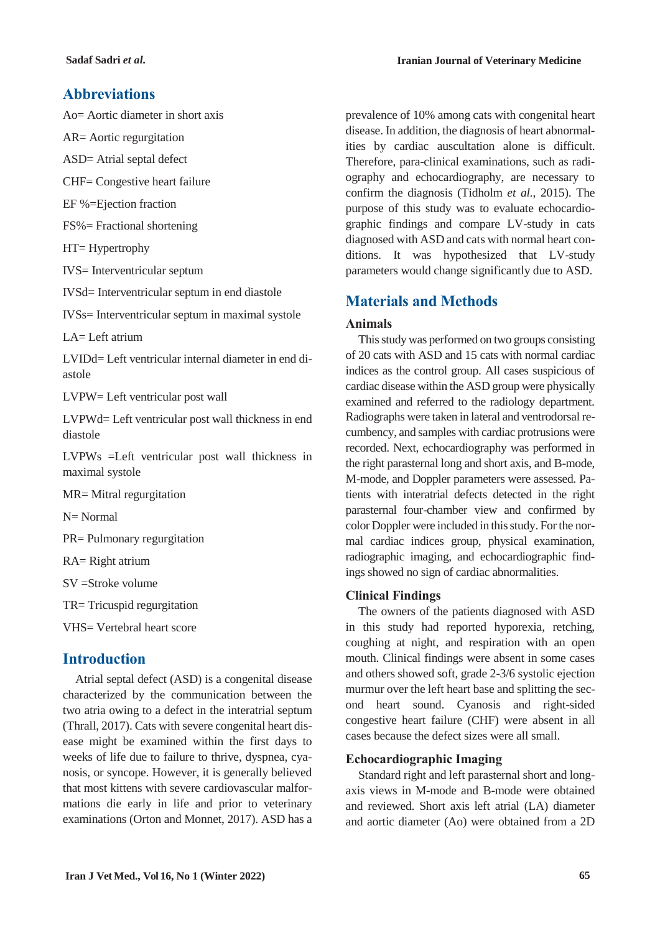## **Abbreviations**

Ao= Aortic diameter in short axis

AR= Aortic regurgitation

ASD= Atrial septal defect

CHF= Congestive heart failure

EF %=Ejection fraction

FS%= Fractional shortening

HT= Hypertrophy

IVS= Interventricular septum

IVSd= Interventricular septum in end diastole

IVSs= Interventricular septum in maximal systole

 $LA= Leff$  atrium

LVIDd= Left ventricular internal diameter in end diastole

LVPW= Left ventricular post wall

LVPWd= Left ventricular post wall thickness in end diastole

LVPWs =Left ventricular post wall thickness in maximal systole

MR= Mitral regurgitation

N= Normal

PR= Pulmonary regurgitation

RA= Right atrium

SV =Stroke volume

TR= Tricuspid regurgitation

VHS= Vertebral heart score

## **Introduction**

Atrial septal defect (ASD) is a congenital disease characterized by the communication between the two atria owing to a defect in the interatrial septum (Thrall, 2017). Cats with severe congenital heart disease might be examined within the first days to weeks of life due to failure to thrive, dyspnea, cyanosis, or syncope. However, it is generally believed that most kittens with severe cardiovascular malformations die early in life and prior to veterinary examinations (Orton and Monnet, 2017). ASD has a prevalence of 10% among cats with congenital heart disease. In addition, the diagnosis of heart abnormalities by cardiac auscultation alone is difficult. Therefore, para-clinical examinations, such as radiography and echocardiography, are necessary to confirm the diagnosis (Tidholm *et al.*, 2015). The purpose of this study was to evaluate echocardiographic findings and compare LV-study in cats diagnosed with ASD and cats with normal heart conditions. It was hypothesized that LV-study parameters would change significantly due to ASD.

# **Materials and Methods**

### **Animals**

This study was performed on two groups consisting of 20 cats with ASD and 15 cats with normal cardiac indices as the control group. All cases suspicious of cardiac disease within the ASD group were physically examined and referred to the radiology department. Radiographs were taken in lateral and ventrodorsal recumbency, and samples with cardiac protrusions were recorded. Next, echocardiography was performed in the right parasternal long and short axis, and B-mode, M-mode, and Doppler parameters were assessed. Patients with interatrial defects detected in the right parasternal four-chamber view and confirmed by color Doppler were included in this study. For the normal cardiac indices group, physical examination, radiographic imaging, and echocardiographic findings showed no sign of cardiac abnormalities.

### **Clinical Findings**

The owners of the patients diagnosed with ASD in this study had reported hyporexia, retching, coughing at night, and respiration with an open mouth. Clinical findings were absent in some cases and others showed soft, grade 2-3/6 systolic ejection murmur over the left heart base and splitting the second heart sound. Cyanosis and right-sided congestive heart failure (CHF) were absent in all cases because the defect sizes were all small.

### **Echocardiographic Imaging**

Standard right and left parasternal short and longaxis views in M-mode and B-mode were obtained and reviewed. Short axis left atrial (LA) diameter and aortic diameter (Ao) were obtained from a 2D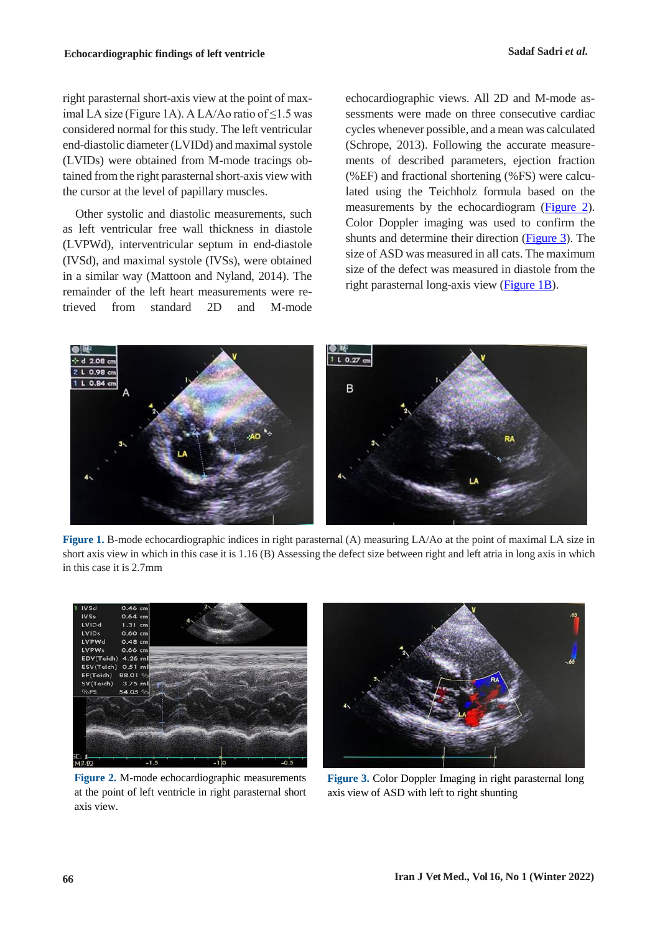right parasternal short-axis view at the point of maximal LA size (Figure 1A). A LA/Ao ratio of  $\leq$ 1.5 was considered normal for this study. The left ventricular end-diastolic diameter (LVIDd) and maximal systole (LVIDs) were obtained from M-mode tracings obtained from the right parasternal short-axis view with the cursor at the level of papillary muscles.

Other systolic and diastolic measurements, such as left ventricular free wall thickness in diastole (LVPWd), interventricular septum in end-diastole (IVSd), and maximal systole (IVSs), were obtained in a similar way (Mattoon and Nyland, 2014). The remainder of the left heart measurements were retrieved from standard 2D and M-mode

echocardiographic views. All 2D and M-mode assessments were made on three consecutive cardiac cycles whenever possible, and a mean was calculated (Schrope, 2013). Following the accurate measurements of described parameters, ejection fraction (%EF) and fractional shortening (%FS) were calculated using the Teichholz formula based on the measurements by the echocardiogram [\(Figure 2\)](#page-2-0). Color Doppler imaging was used to confirm the shunts and determine their direction [\(Figure 3\)](#page-2-1). The size of ASD was measured in all cats. The maximum size of the defect was measured in diastole from the right parasternal long-axis view [\(Figure 1B\)](#page-2-2).



**Figure 1.** B-mode echocardiographic indices in right parasternal (A) measuring LA/Ao at the point of maximal LA size in short axis view in which in this case it is 1.16 (B) Assessing the defect size between right and left atria in long axis in which in this case it is 2.7mm

<span id="page-2-2"></span><span id="page-2-1"></span>

**Figure 2.** M-mode echocardiographic measurements at the point of left ventricle in right parasternal short axis view.

<span id="page-2-0"></span>

**Figure 3.** Color Doppler Imaging in right parasternal long axis view of ASD with left to right shunting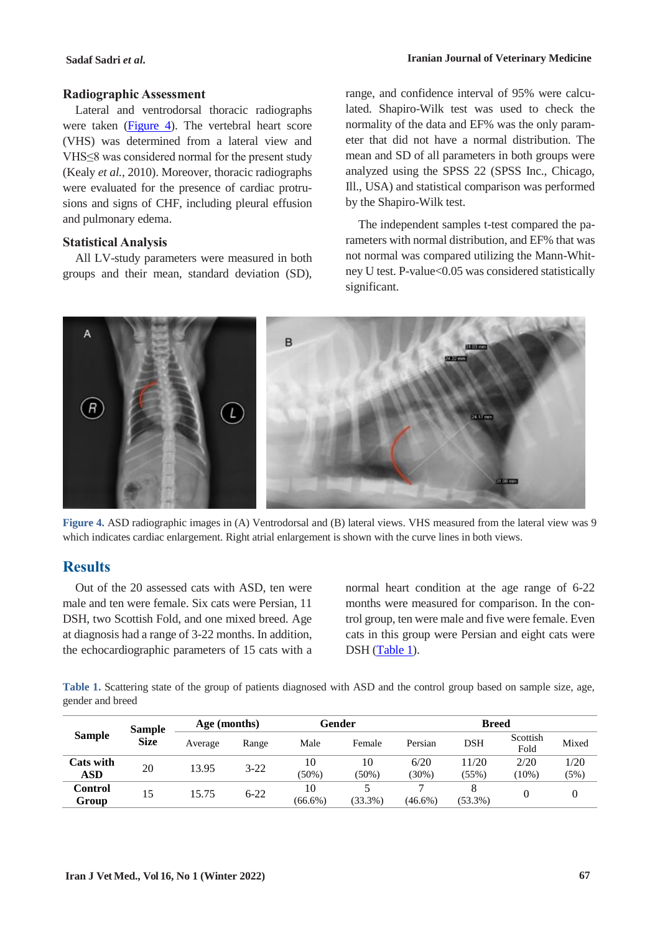#### **Radiographic Assessment**

Lateral and ventrodorsal thoracic radiographs were taken [\(Figure 4\)](#page-3-0). The vertebral heart score (VHS) was determined from a lateral view and VHS≤8 was considered normal for the present study (Kealy *et al.*, 2010). Moreover, thoracic radiographs were evaluated for the presence of cardiac protrusions and signs of CHF, including pleural effusion and pulmonary edema.

#### **Statistical Analysis**

All LV-study parameters were measured in both groups and their mean, standard deviation (SD),

range, and confidence interval of 95% were calculated. Shapiro-Wilk test was used to check the normality of the data and EF% was the only parameter that did not have a normal distribution. The mean and SD of all parameters in both groups were analyzed using the SPSS 22 (SPSS Inc., Chicago, Ill., USA) and statistical comparison was performed by the Shapiro-Wilk test.

The independent samples t-test compared the parameters with normal distribution, and EF% that was not normal was compared utilizing the Mann-Whitney U test. P-value<0.05 was considered statistically significant.



**Figure 4.** ASD radiographic images in (A) Ventrodorsal and (B) lateral views. VHS measured from the lateral view was 9 which indicates cardiac enlargement. Right atrial enlargement is shown with the curve lines in both views.

### <span id="page-3-0"></span>**Results**

Out of the 20 assessed cats with ASD, ten were male and ten were female. Six cats were Persian, 11 DSH, two Scottish Fold, and one mixed breed. Age at diagnosis had a range of 3-22 months. In addition, the echocardiographic parameters of 15 cats with a

normal heart condition at the age range of 6-22 months were measured for comparison. In the control group, ten were male and five were female. Even cats in this group were Persian and eight cats were DSH [\(Table 1\)](#page-3-1).

<span id="page-3-1"></span>**Table 1.** Scattering state of the group of patients diagnosed with ASD and the control group based on sample size, age, gender and breed

| <b>Sample</b> | <b>Sample</b><br><b>Size</b> | Age (months) |          | Gender     |            | <b>Breed</b> |            |                  |       |
|---------------|------------------------------|--------------|----------|------------|------------|--------------|------------|------------------|-------|
|               |                              | Average      | Range    | Male       | Female     | Persian      | DSH        | Scottish<br>Fold | Mixed |
| Cats with     | 20                           | 13.95        | $3 - 22$ | 10         | 10         | 6/20         | 11/20      | 2/20             | 1/20  |
| ASD           |                              |              |          | $(50\%)$   | $(50\%)$   | $30\%)$      | (55%)      | $(10\%)$         | (5%)  |
| Control       | 15                           | 15.75        | $6 - 22$ | 10         |            |              |            |                  |       |
| Group         |                              |              |          | $(66.6\%)$ | $(33.3\%)$ | $(46.6\%)$   | $(53.3\%)$ |                  |       |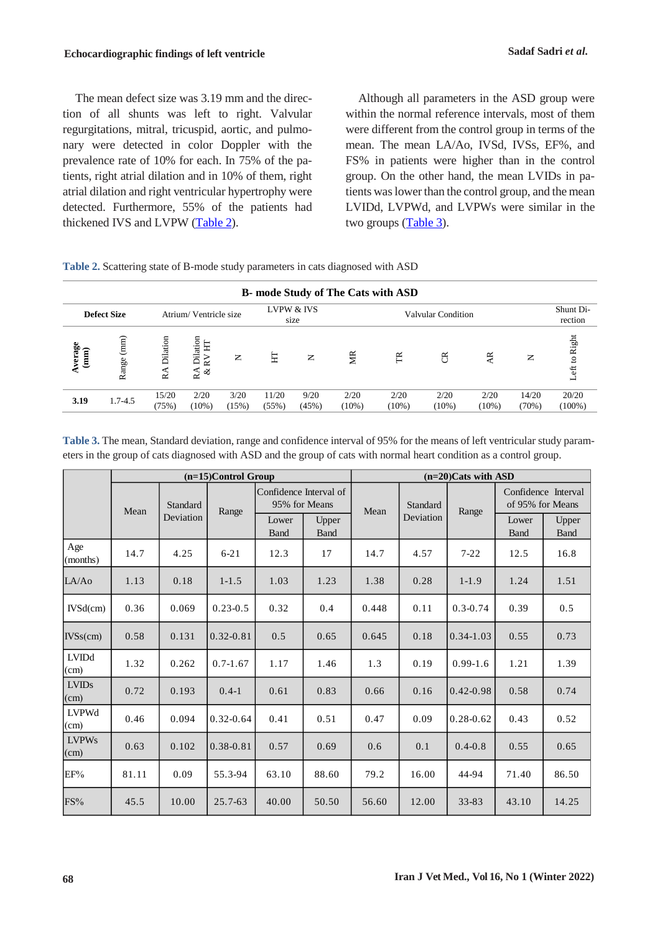The mean defect size was 3.19 mm and the direction of all shunts was left to right. Valvular regurgitations, mitral, tricuspid, aortic, and pulmonary were detected in color Doppler with the prevalence rate of 10% for each. In 75% of the patients, right atrial dilation and in 10% of them, right atrial dilation and right ventricular hypertrophy were detected. Furthermore, 55% of the patients had thickened IVS and LVPW [\(Table 2\)](#page-4-0).

Although all parameters in the ASD group were within the normal reference intervals, most of them were different from the control group in terms of the mean. The mean LA/Ao, IVSd, IVSs, EF%, and FS% in patients were higher than in the control group. On the other hand, the mean LVIDs in patients was lower than the control group, and the mean LVIDd, LVPWd, and LVPWs were similar in the two groups  $(Table 3)$ .

<span id="page-4-0"></span>

|  |  | Table 2. Scattering state of B-mode study parameters in cats diagnosed with ASD |  |
|--|--|---------------------------------------------------------------------------------|--|
|  |  |                                                                                 |  |

| <b>B</b> - mode Study of The Cats with ASD |                                             |                |                                                   |               |                    |               |                  |                  |                      |                  |                |                            |
|--------------------------------------------|---------------------------------------------|----------------|---------------------------------------------------|---------------|--------------------|---------------|------------------|------------------|----------------------|------------------|----------------|----------------------------|
|                                            | <b>Defect Size</b><br>Atrium/Ventricle size |                | LVPW & IVS<br>size                                |               | Valvular Condition |               |                  |                  | Shunt Di-<br>rection |                  |                |                            |
| verage<br>(mm)                             | $(mm)$<br>Range                             | Dilation<br>RA | Dilation<br>Ë<br>$\mathsf{R} \mathsf{V}$<br>ิ ชัช | $\mathsf{z}$  | 토                  | $\mathsf{z}$  | ЙR               | E                | ã                    | ¥                | $\mathsf{z}$   | Right<br>$\mathbf{S}$<br>t |
| 3.19                                       | $1.7 - 4.5$                                 | 15/20<br>(75%) | 2/20<br>$(10\%)$                                  | 3/20<br>(15%) | 11/20<br>(55%)     | 9/20<br>(45%) | 2/20<br>$(10\%)$ | 2/20<br>$(10\%)$ | 2/20<br>$(10\%)$     | 2/20<br>$(10\%)$ | 14/20<br>(70%) | 20/20<br>$(100\%)$         |

<span id="page-4-1"></span>**Table 3.** The mean, Standard deviation, range and confidence interval of 95% for the means of left ventricular study parameters in the group of cats diagnosed with ASD and the group of cats with normal heart condition as a control group.

|                                 |       |           | $(n=15)$ Control Group |                                         |                      | $(n=20)$ Cats with ASD |                       |               |                                         |                      |  |
|---------------------------------|-------|-----------|------------------------|-----------------------------------------|----------------------|------------------------|-----------------------|---------------|-----------------------------------------|----------------------|--|
|                                 | Mean  | Standard  | Range                  | Confidence Interval of<br>95% for Means |                      | Mean                   | Standard<br>Deviation | Range         | Confidence Interval<br>of 95% for Means |                      |  |
|                                 |       | Deviation |                        | Lower<br><b>Band</b>                    | Upper<br><b>Band</b> |                        |                       |               | Lower<br><b>Band</b>                    | Upper<br><b>Band</b> |  |
| Age<br>(months)                 | 14.7  | 4.25      | $6 - 21$               | 12.3                                    | 17                   | 14.7                   | 4.57                  | $7 - 22$      | 12.5                                    | 16.8                 |  |
| LA/AO                           | 1.13  | 0.18      | $1 - 1.5$              | 1.03                                    | 1.23                 | 1.38                   | 0.28                  | $1 - 1.9$     | 1.24                                    | 1.51                 |  |
| IVSd(cm)                        | 0.36  | 0.069     | $0.23 - 0.5$           | 0.32                                    | 0.4                  | 0.448                  | 0.11                  | $0.3 - 0.74$  | 0.39                                    | 0.5                  |  |
| $IVSs$ (cm)                     | 0.58  | 0.131     | $0.32 - 0.81$          | 0.5                                     | 0.65                 | 0.645                  | 0.18                  | $0.34 - 1.03$ | 0.55                                    | 0.73                 |  |
| <b>LVIDd</b><br>$\vert$ (cm)    | 1.32  | 0.262     | $0.7 - 1.67$           | 1.17                                    | 1.46                 | 1.3                    | 0.19                  | $0.99 - 1.6$  | 1.21                                    | 1.39                 |  |
| <b>LVIDs</b><br>(cm)            | 0.72  | 0.193     | $0.4-1$                | 0.61                                    | 0.83                 | 0.66                   | 0.16                  | $0.42 - 0.98$ | 0.58                                    | 0.74                 |  |
| LVPWd<br>$\vert$ (cm)           | 0.46  | 0.094     | $0.32 - 0.64$          | 0.41                                    | 0.51                 | 0.47                   | 0.09                  | $0.28 - 0.62$ | 0.43                                    | 0.52                 |  |
| <b>LVPWs</b><br>$\epsilon$ (cm) | 0.63  | 0.102     | 0.38-0.81              | 0.57                                    | 0.69                 | 0.6                    | 0.1                   | $0.4 - 0.8$   | 0.55                                    | 0.65                 |  |
| EF%                             | 81.11 | 0.09      | 55.3-94                | 63.10                                   | 88.60                | 79.2                   | 16.00                 | 44-94         | 71.40                                   | 86.50                |  |
| FS%                             | 45.5  | 10.00     | 25.7-63                | 40.00                                   | 50.50                | 56.60                  | 12.00                 | 33-83         | 43.10                                   | 14.25                |  |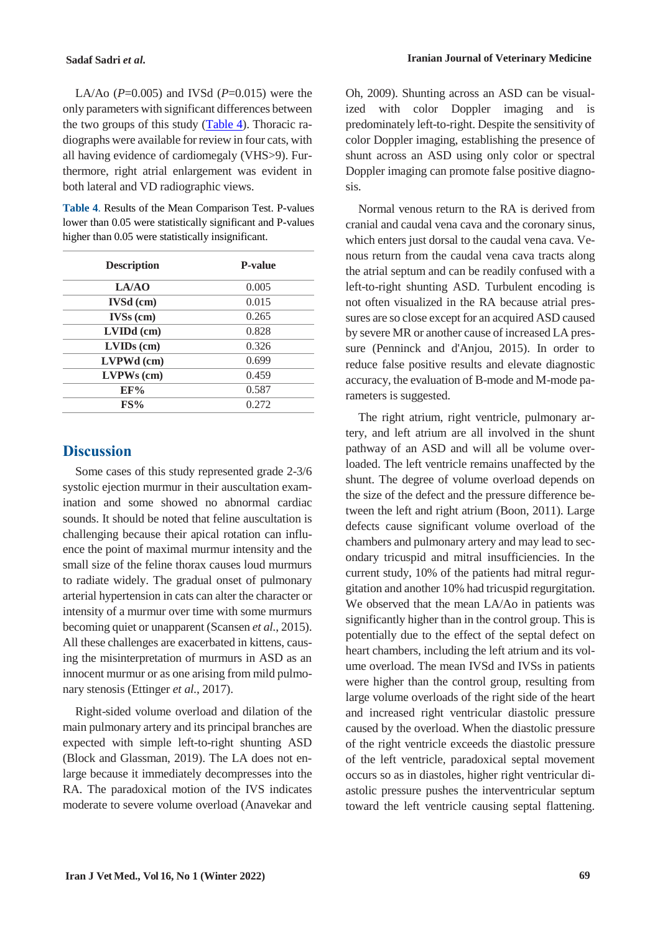**Sadaf Sadri** *et al.* **Iranian Journal of Veterinary Medicine**

LA/Ao ( $P=0.005$ ) and IVSd ( $P=0.015$ ) were the only parameters with significant differences between the two groups of this study [\(Table 4\)](#page-5-0). Thoracic radiographs were available for review in four cats, with all having evidence of cardiomegaly (VHS>9). Furthermore, right atrial enlargement was evident in both lateral and VD radiographic views.

<span id="page-5-0"></span>**Table 4**. Results of the Mean Comparison Test. P-values lower than 0.05 were statistically significant and P-values higher than 0.05 were statistically insignificant.

| <b>Description</b> | <b>P-value</b> |
|--------------------|----------------|
| LA/AO              | 0.005          |
| <b>IVSd</b> (cm)   | 0.015          |
| $IVSS$ (cm)        | 0.265          |
| $LVDd$ (cm)        | 0.828          |
| $LVIDs$ (cm)       | 0.326          |
| LVPWd (cm)         | 0.699          |
| $LVPWs$ (cm)       | 0.459          |
| EF%                | 0.587          |
| FS%                | 0.272          |

### **Discussion**

Some cases of this study represented grade 2-3/6 systolic ejection murmur in their auscultation examination and some showed no abnormal cardiac sounds. It should be noted that feline auscultation is challenging because their apical rotation can influence the point of maximal murmur intensity and the small size of the feline thorax causes loud murmurs to radiate widely. The gradual onset of pulmonary arterial hypertension in cats can alter the character or intensity of a murmur over time with some murmurs becoming quiet or unapparent (Scansen *et al.*, 2015). All these challenges are exacerbated in kittens, causing the misinterpretation of murmurs in ASD as an innocent murmur or as one arising from mild pulmonary stenosis (Ettinger *et al.*, 2017).

Right-sided volume overload and dilation of the main pulmonary artery and its principal branches are expected with simple left-to-right shunting ASD (Block and Glassman, 2019). The LA does not enlarge because it immediately decompresses into the RA. The paradoxical motion of the IVS indicates moderate to severe volume overload (Anavekar and Oh, 2009). Shunting across an ASD can be visualized with color Doppler imaging and is predominately left-to-right. Despite the sensitivity of color Doppler imaging, establishing the presence of shunt across an ASD using only color or spectral Doppler imaging can promote false positive diagnosis.

Normal venous return to the RA is derived from cranial and caudal vena cava and the coronary sinus, which enters just dorsal to the caudal vena cava. Venous return from the caudal vena cava tracts along the atrial septum and can be readily confused with a left-to-right shunting ASD. Turbulent encoding is not often visualized in the RA because atrial pressures are so close except for an acquired ASD caused by severe MR or another cause of increased LA pressure (Penninck and d'Anjou, 2015). In order to reduce false positive results and elevate diagnostic accuracy, the evaluation of B-mode and M-mode parameters is suggested.

The right atrium, right ventricle, pulmonary artery, and left atrium are all involved in the shunt pathway of an ASD and will all be volume overloaded. The left ventricle remains unaffected by the shunt. The degree of volume overload depends on the size of the defect and the pressure difference between the left and right atrium (Boon, 2011). Large defects cause significant volume overload of the chambers and pulmonary artery and may lead to secondary tricuspid and mitral insufficiencies. In the current study, 10% of the patients had mitral regurgitation and another 10% had tricuspid regurgitation. We observed that the mean LA/Ao in patients was significantly higher than in the control group. This is potentially due to the effect of the septal defect on heart chambers, including the left atrium and its volume overload. The mean IVSd and IVSs in patients were higher than the control group, resulting from large volume overloads of the right side of the heart and increased right ventricular diastolic pressure caused by the overload. When the diastolic pressure of the right ventricle exceeds the diastolic pressure of the left ventricle, paradoxical septal movement occurs so as in diastoles, higher right ventricular diastolic pressure pushes the interventricular septum toward the left ventricle causing septal flattening.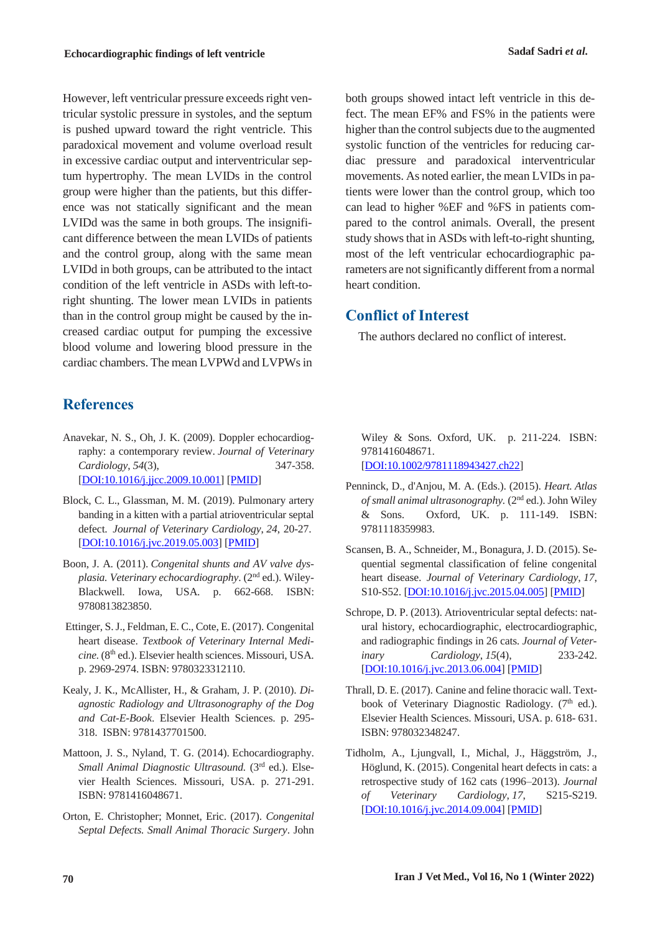However, left ventricular pressure exceeds right ventricular systolic pressure in systoles, and the septum is pushed upward toward the right ventricle. This paradoxical movement and volume overload result in excessive cardiac output and interventricular septum hypertrophy. The mean LVIDs in the control group were higher than the patients, but this difference was not statically significant and the mean LVIDd was the same in both groups. The insignificant difference between the mean LVIDs of patients and the control group, along with the same mean LVIDd in both groups, can be attributed to the intact condition of the left ventricle in ASDs with left-toright shunting. The lower mean LVIDs in patients than in the control group might be caused by the increased cardiac output for pumping the excessive blood volume and lowering blood pressure in the cardiac chambers. The mean LVPWd and LVPWs in

# **References**

- Anavekar, N. S., Oh, J. K. (2009). Doppler echocardiography: a contemporary review. *Journal of Veterinary Cardiology*, *54*(3), 347-358. [DOI:10.1016/j.jjcc.2009.10.001] [PMID]
- Block, C. L., Glassman, M. M. (2019). Pulmonary artery banding in a kitten with a partial atrioventricular septal defect. *Journal of Veterinary Cardiology*, *24*, 20-27. [DOI:10.1016/j.jvc.2019.05.003] [PMID]
- Boon, J. A. (2011). *Congenital shunts and AV valve dysplasia. Veterinary echocardiography*. (2nd ed.). Wiley-Blackwell. Iowa, USA. p. 662-668. ISBN: 9780813823850.
- Ettinger, S. J., Feldman, E. C., Cote, E. (2017). Congenital heart disease. *Textbook of Veterinary Internal Medicine.* (8th ed.). Elsevier health sciences. Missouri, USA. p. 2969-2974. ISBN: 9780323312110.
- Kealy, J. K., McAllister, H., & Graham, J. P. (2010). *Diagnostic Radiology and Ultrasonography of the Dog and Cat-E-Book*. Elsevier Health Sciences. p. 295- 318. ISBN: 9781437701500.
- Mattoon, J. S., Nyland, T. G. (2014). Echocardiography. *Small Animal Diagnostic Ultrasound.* (3rd ed.). Elsevier Health Sciences. Missouri, USA. p. 271-291. ISBN: 9781416048671.
- Orton, E. Christopher; Monnet, Eric. (2017). *Congenital Septal Defects. Small Animal Thoracic Surgery*. John

both groups showed intact left ventricle in this defect. The mean EF% and FS% in the patients were higher than the control subjects due to the augmented systolic function of the ventricles for reducing cardiac pressure and paradoxical interventricular movements. As noted earlier, the mean LVIDs in patients were lower than the control group, which too can lead to higher %EF and %FS in patients compared to the control animals. Overall, the present study shows that in ASDs with left-to-right shunting, most of the left ventricular echocardiographic parameters are not significantly different from a normal heart condition.

# **Conflict of Interest**

The authors declared no conflict of interest.

Wiley & Sons. Oxford, UK. p. 211-224. ISBN: 9781416048671. [DOI:10.1002/9781118943427.ch22]

- Penninck, D., d'Anjou, M. A. (Eds.). (2015). *Heart. Atlas of small animal ultrasonography.* (2nd ed.). John Wiley & Sons. Oxford, UK. p. 111-149. ISBN: 9781118359983.
- Scansen, B. A., Schneider, M., Bonagura, J. D. (2015). Sequential segmental classification of feline congenital heart disease. *Journal of Veterinary Cardiology*, *17*, S10-S52. [DOI:10.1016/j.jvc.2015.04.005] [PMID]
- Schrope, D. P. (2013). Atrioventricular septal defects: natural history, echocardiographic, electrocardiographic, and radiographic findings in 26 cats. *Journal of Veterinary Cardiology*, *15*(4), 233-242. [DOI:10.1016/j.jvc.2013.06.004] [PMID]
- Thrall, D. E. (2017). Canine and feline thoracic wall. Textbook of Veterinary Diagnostic Radiology. (7<sup>th</sup> ed.). Elsevier Health Sciences. Missouri, USA. p. 618- 631. ISBN: 978032348247.
- Tidholm, A., Ljungvall, I., Michal, J., Häggström, J., Höglund, K. (2015). Congenital heart defects in cats: a retrospective study of 162 cats (1996–2013). *Journal of Veterinary Cardiology*, *17*, S215-S219. [DOI:10.1016/j.jvc.2014.09.004] [PMID]